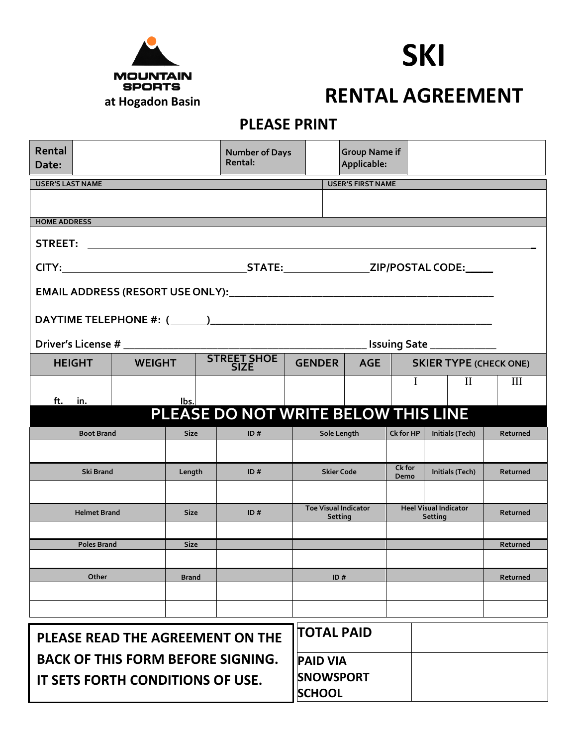

## **SKI**

## **RENTAL AGREEMENT**

## **PLEASE PRINT**

| Rental<br>Date:                          |                                |  |              |  | <b>Number of Days</b><br>Rental:  |     | <b>Group Name if</b><br>Applicable:    |                   |                                         |                   |                 |          |  |
|------------------------------------------|--------------------------------|--|--------------|--|-----------------------------------|-----|----------------------------------------|-------------------|-----------------------------------------|-------------------|-----------------|----------|--|
| <b>USER'S LAST NAME</b>                  |                                |  |              |  |                                   |     | <b>USER'S FIRST NAME</b>               |                   |                                         |                   |                 |          |  |
|                                          |                                |  |              |  |                                   |     |                                        |                   |                                         |                   |                 |          |  |
| <b>HOME ADDRESS</b>                      |                                |  |              |  |                                   |     |                                        |                   |                                         |                   |                 |          |  |
|                                          |                                |  |              |  |                                   |     |                                        |                   |                                         |                   |                 |          |  |
|                                          |                                |  |              |  |                                   |     |                                        |                   |                                         |                   |                 |          |  |
|                                          |                                |  |              |  |                                   |     |                                        |                   |                                         |                   |                 |          |  |
|                                          |                                |  |              |  |                                   |     |                                        |                   |                                         |                   |                 |          |  |
|                                          |                                |  |              |  |                                   |     |                                        |                   |                                         |                   |                 |          |  |
|                                          |                                |  |              |  |                                   |     | <b>Issuing Sate ______________</b>     |                   |                                         |                   |                 |          |  |
|                                          | <b>HEIGHT</b><br><b>WEIGHT</b> |  |              |  | <b>STREET SHOE</b><br><b>SIZE</b> |     | AGE<br><b>GENDER</b>                   |                   | <b>SKIER TYPE (CHECK ONE)</b>           |                   |                 |          |  |
|                                          |                                |  |              |  |                                   |     |                                        |                   |                                         | I<br>$\mathbf{I}$ |                 | Ш        |  |
| ft.                                      | in.<br>lbs.                    |  |              |  |                                   |     |                                        |                   |                                         |                   |                 |          |  |
| PLEASE DO NOT WRITE BELOW THIS LINE      |                                |  |              |  |                                   |     |                                        |                   |                                         |                   |                 |          |  |
| <b>Boot Brand</b>                        |                                |  | <b>Size</b>  |  | ID#                               |     | Sole Length                            |                   | Ck for HP                               |                   | Initials (Tech) | Returned |  |
|                                          |                                |  |              |  |                                   |     |                                        |                   |                                         |                   |                 |          |  |
| Ski Brand                                |                                |  | Length       |  | ID#                               |     | <b>Skier Code</b>                      |                   | Ck for<br>Demo                          |                   | Initials (Tech) | Returned |  |
|                                          |                                |  |              |  |                                   |     |                                        |                   |                                         |                   |                 |          |  |
| <b>Helmet Brand</b>                      |                                |  | <b>Size</b>  |  | ID#                               |     | <b>Toe Visual Indicator</b><br>Setting |                   | <b>Heel Visual Indicator</b><br>Setting |                   |                 | Returned |  |
|                                          |                                |  |              |  |                                   |     |                                        |                   |                                         |                   |                 |          |  |
| <b>Poles Brand</b>                       |                                |  | <b>Size</b>  |  |                                   |     |                                        |                   |                                         |                   |                 | Returned |  |
|                                          |                                |  |              |  |                                   |     |                                        |                   |                                         |                   |                 |          |  |
| Other                                    |                                |  | <b>Brand</b> |  |                                   | ID# |                                        |                   |                                         |                   |                 | Returned |  |
|                                          |                                |  |              |  |                                   |     |                                        |                   |                                         |                   |                 |          |  |
|                                          |                                |  |              |  |                                   |     |                                        |                   |                                         |                   |                 |          |  |
| PLEASE READ THE AGREEMENT ON THE         |                                |  |              |  |                                   |     |                                        | <b>TOTAL PAID</b> |                                         |                   |                 |          |  |
| <b>BACK OF THIS FORM BEFORE SIGNING.</b> |                                |  |              |  |                                   |     | <b>PAID VIA</b>                        |                   |                                         |                   |                 |          |  |
| IT SETS FORTH CONDITIONS OF USE.         |                                |  |              |  |                                   |     | <b>SNOWSPORT</b><br><b>SCHOOL</b>      |                   |                                         |                   |                 |          |  |